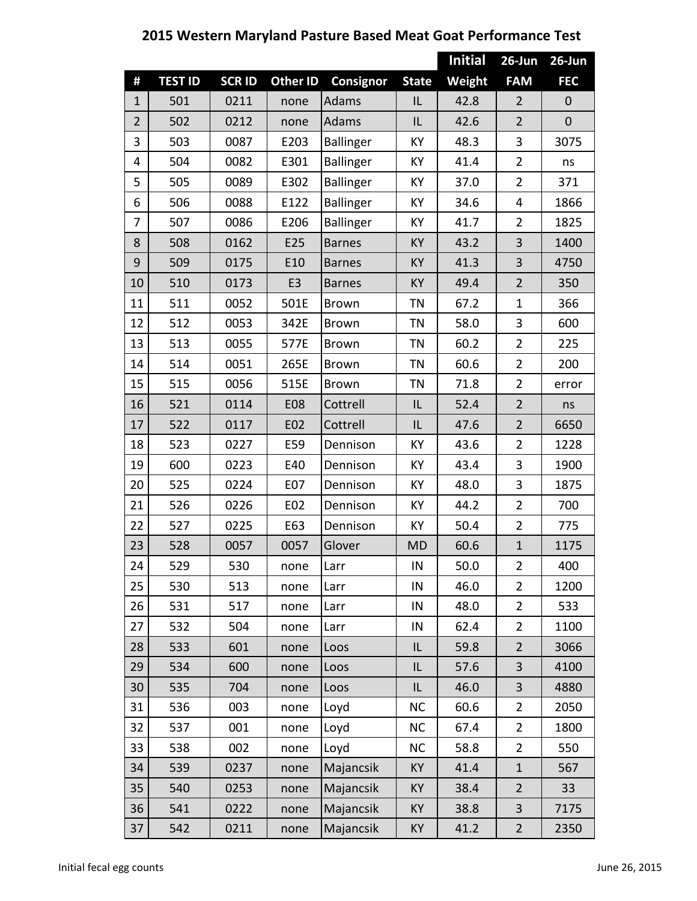|                |                |              |                 |                  |              | <b>Initial</b> | 26-Jun         | 26-Jun           |
|----------------|----------------|--------------|-----------------|------------------|--------------|----------------|----------------|------------------|
| #              | <b>TEST ID</b> | <b>SCRID</b> | <b>Other ID</b> | <b>Consignor</b> | <b>State</b> | Weight         | <b>FAM</b>     | <b>FEC</b>       |
| $\mathbf{1}$   | 501            | 0211         | none            | <b>Adams</b>     | IL           | 42.8           | $\overline{2}$ | $\mathbf{0}$     |
| $\overline{2}$ | 502            | 0212         | none            | Adams            | IL           | 42.6           | $\overline{2}$ | $\boldsymbol{0}$ |
| 3              | 503            | 0087         | E203            | Ballinger        | KY           | 48.3           | 3              | 3075             |
| 4              | 504            | 0082         | E301            | Ballinger        | KY           | 41.4           | $\overline{2}$ | ns               |
| 5              | 505            | 0089         | E302            | <b>Ballinger</b> | KY           | 37.0           | $\overline{2}$ | 371              |
| 6              | 506            | 0088         | E122            | <b>Ballinger</b> | KY           | 34.6           | 4              | 1866             |
| 7              | 507            | 0086         | E206            | <b>Ballinger</b> | KY           | 41.7           | $\overline{2}$ | 1825             |
| 8              | 508            | 0162         | E25             | <b>Barnes</b>    | KY           | 43.2           | 3              | 1400             |
| 9              | 509            | 0175         | E10             | <b>Barnes</b>    | KY           | 41.3           | 3              | 4750             |
| 10             | 510            | 0173         | E <sub>3</sub>  | <b>Barnes</b>    | KY           | 49.4           | $\overline{2}$ | 350              |
| 11             | 511            | 0052         | 501E            | <b>Brown</b>     | <b>TN</b>    | 67.2           | $\mathbf{1}$   | 366              |
| 12             | 512            | 0053         | 342E            | <b>Brown</b>     | <b>TN</b>    | 58.0           | 3              | 600              |
| 13             | 513            | 0055         | 577E            | <b>Brown</b>     | <b>TN</b>    | 60.2           | $\overline{2}$ | 225              |
| 14             | 514            | 0051         | 265E            | <b>Brown</b>     | <b>TN</b>    | 60.6           | $\overline{2}$ | 200              |
| 15             | 515            | 0056         | 515E            | <b>Brown</b>     | <b>TN</b>    | 71.8           | $\overline{2}$ | error            |
| 16             | 521            | 0114         | <b>E08</b>      | Cottrell         | IL           | 52.4           | $\overline{2}$ | ns               |
| 17             | 522            | 0117         | E02             | Cottrell         | IL           | 47.6           | $\overline{2}$ | 6650             |
| 18             | 523            | 0227         | E59             | Dennison         | KY           | 43.6           | $\overline{2}$ | 1228             |
| 19             | 600            | 0223         | E40             | Dennison         | KY           | 43.4           | 3              | 1900             |
| 20             | 525            | 0224         | E07             | Dennison         | KY           | 48.0           | 3              | 1875             |
| 21             | 526            | 0226         | E02             | Dennison         | KY           | 44.2           | $\overline{2}$ | 700              |
| 22             | 527            | 0225         | E63             | Dennison         | KY           | 50.4           | $\overline{2}$ | 775              |
| 23             | 528            | 0057         | 0057            | Glover           | <b>MD</b>    | 60.6           | $\mathbf{1}$   | 1175             |
| 24             | 529            | 530          | none            | Larr             | IN           | 50.0           | $\overline{2}$ | 400              |
| 25             | 530            | 513          | none            | Larr             | IN           | 46.0           | $\overline{2}$ | 1200             |
| 26             | 531            | 517          | none            | Larr             | IN           | 48.0           | $\overline{2}$ | 533              |
| 27             | 532            | 504          | none            | Larr             | $\sf IN$     | 62.4           | $\overline{2}$ | 1100             |
| 28             | 533            | 601          | none            | Loos             | IL           | 59.8           | $\overline{2}$ | 3066             |
| 29             | 534            | 600          | none            | Loos             | IL           | 57.6           | 3              | 4100             |
| 30             | 535            | 704          | none            | Loos             | IL           | 46.0           | 3              | 4880             |
| 31             | 536            | 003          | none            | Loyd             | <b>NC</b>    | 60.6           | $\overline{2}$ | 2050             |
| 32             | 537            | 001          | none            | Loyd             | <b>NC</b>    | 67.4           | $\overline{2}$ | 1800             |
| 33             | 538            | 002          | none            | Loyd             | <b>NC</b>    | 58.8           | $\overline{2}$ | 550              |
| 34             | 539            | 0237         | none            | Majancsik        | KY           | 41.4           | $\mathbf{1}$   | 567              |
| 35             | 540            | 0253         | none            | Majancsik        | KY           | 38.4           | $\overline{2}$ | 33               |
| 36             | 541            | 0222         | none            | Majancsik        | KY           | 38.8           | 3              | 7175             |
| 37             | 542            | 0211         | none            | Majancsik        | KY           | 41.2           | $\overline{2}$ | 2350             |

**2015 Western Maryland Pasture Based Meat Goat Performance Test**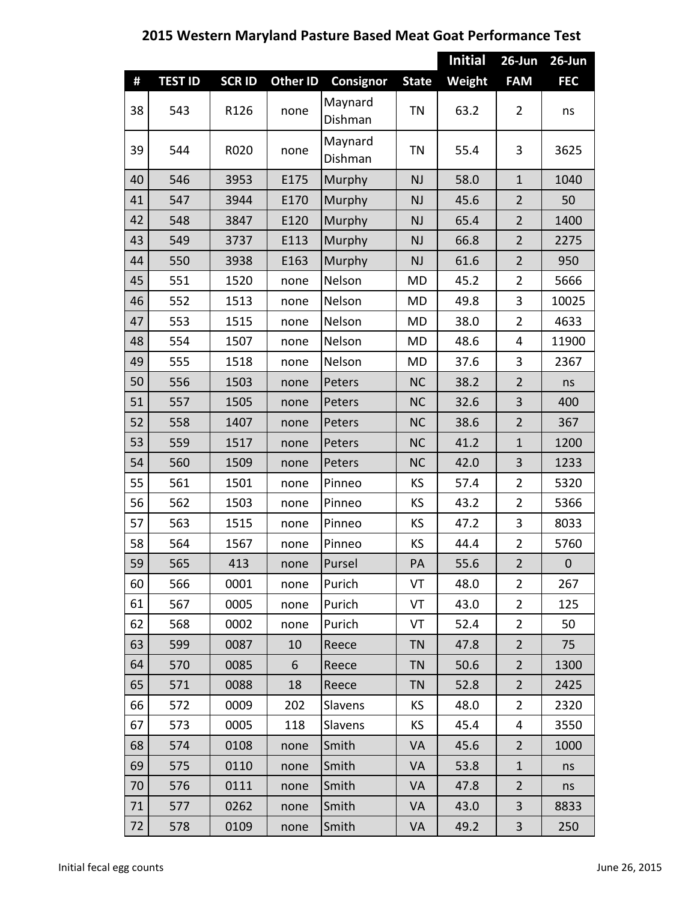## **Initial 26‐Jun 26‐Jun # TEST ID SCR ID Other ID Consignor State Weight FAM FEC** 38 543 R126 none Maynard  $\begin{array}{c|c}\n\text{Dishman} \\
\text{Dishman}\n\end{array}\n\begin{array}{c|c}\n\text{TN} & 63.2 & 2\n\end{array}$ 39 544 R020 none Maynard Dishman TN 55.4 3 3625 40 | 546 | 3953 | E175 |Murphy | NJ | 58.0 | 1 | 1040 41 | 547 | 3944 | E170 |Murphy | NJ | 45.6 | 2 | 50 42 | 548 | 3847 | E120 |Murphy | NJ | 65.4 | 2 | 1400 43 | 549 | 3737 | E113 |Murphy | NJ | 66.8 | 2 | 2275 44 | 550 | 3938 | E163 |Murphy | NJ | 61.6 | 2 | 950 45 | 551 | 1520 | none |Nelson | MD | 45.2 | 2 | 5666 46 552 1513 | none |Nelson | MD | 49.8 | 3 | 10025 47 | 553 | 1515 | none |Nelson | MD | 38.0 | 2 | 4633 48 | 554 | 1507 | none |Nelson | MD | 48.6 | 4 | 11900 49 555 1518 none Nelson MD 37.6 3 2367 50 | 556 | 1503 | none |Peters | NC | 38.2 | 2 | ns 51 | 557 | 1505 | none |Peters | NC | 32.6 | 3 | 400 52 | 558 | 1407 | none |Peters | NC | 38.6 | 2 | 367 53 | 559 | 1517 | none |Peters | NC | 41.2 | 1 | 1200 54 560 1509 none Peters | NC | 42.0 | 3 | 1233 55 | 561 | 1501 | none |Pinneo | KS | 57.4 | 2 | 5320 56 | 562 | 1503 | none | Pinneo | KS | 43.2 | 2 | 5366 57 | 563 | 1515 | none | Pinneo | KS | 47.2 | 3 | 8033 58 | 564 | 1567 | none |Pinneo | KS | 44.4 | 2 | 5760 59 | 565 | 413 | none |Pursel | PA | 55.6 | 2 | 0 60 | 566 | 0001 | none |Purich | VT | 48.0 | 2 | 267 61 | 567 | 0005 | none |Purich | VT | 43.0 | 2 | 125 62 | 568 | 0002 | none |Purich | VT | 52.4 | 2 | 50 63 | 599 | 0087 | 10 |Reece | TN | 47.8 | 2 | 75 64 570 0085 6 Reece TN 50.6 2 1300 65 | 571 | 0088 | 18 |Reece | TN | 52.8 | 2 | 2425 66 572 0009 202 Slavens | KS | 48.0 | 2 | 2320 67 | 573 | 0005 | 118 | Slavens | KS | 45.4 | 4 | 3550 68 | 574 | 0108 | none |Smith | VA | 45.6 | 2 | 1000 69 575 0110 none Smith VA 53.8 1 ns 70 | 576 | 0111 | none |Smith | VA | 47.8 | 2 | ns 71 | 577 | 0262 | none |Smith | VA | 43.0 | 3 | 8833 72 | 578 | 0109 | none |Smith | VA | 49.2 | 3 | 250

## **2015 Western Maryland Pasture Based Meat Goat Performance Test**